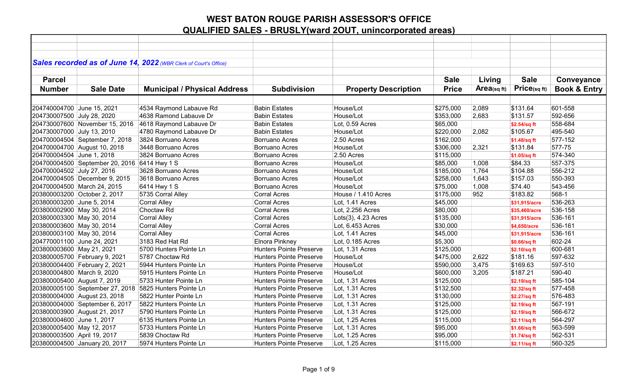|                             |                                              | Sales recorded as of June 14, 2022 (WBR Clerk of Court's Office) |                                |                             |              |            |               |                         |
|-----------------------------|----------------------------------------------|------------------------------------------------------------------|--------------------------------|-----------------------------|--------------|------------|---------------|-------------------------|
|                             |                                              |                                                                  |                                |                             |              |            |               |                         |
| <b>Parcel</b>               |                                              |                                                                  |                                |                             | <b>Sale</b>  | Living     | <b>Sale</b>   | Conveyance              |
| <b>Number</b>               | <b>Sale Date</b>                             | <b>Municipal / Physical Address</b>                              | <b>Subdivision</b>             | <b>Property Description</b> | <b>Price</b> | Area(sqft) | Price(sq ft)  | <b>Book &amp; Entry</b> |
|                             |                                              |                                                                  |                                |                             |              |            |               |                         |
| 204740004700 June 15, 2021  |                                              | 4534 Raymond Labauve Rd                                          | <b>Babin Estates</b>           | House/Lot                   | \$275,000    | 2,089      | \$131.64      | 601-558                 |
| 204730007500 July 28, 2020  |                                              | 4638 Ramond Labauve Dr                                           | <b>Babin Estates</b>           | House/Lot                   | \$353,000    | 2,683      | \$131.57      | 592-656                 |
|                             | 204730007600 November 15, 2016               | 4618 Raymond Labauve Dr                                          | <b>Babin Estates</b>           | Lot, 0.59 Acres             | \$65,000     |            | \$2.54/sq ft  | 558-684                 |
| 204730007000 July 13, 2010  |                                              | 4780 Raymond Labauve Dr                                          | <b>Babin Estates</b>           | House/Lot                   | \$220,000    | 2,082      | \$105.67      | 495-540                 |
|                             | 204700004504 September 7, 2018               | 3824 Borruano Acres                                              | <b>Borruano Acres</b>          | 2.50 Acres                  | \$162,000    |            | \$1.48/sq ft  | 577-152                 |
|                             | 204700004700 August 10, 2018                 | 3448 Borruano Acres                                              | <b>Borruano Acres</b>          | House/Lot                   | \$306,000    | 2,321      | \$131.84      | 577-75                  |
| 204700004504 June 1, 2018   |                                              | 3824 Borruano Acres                                              | <b>Borruano Acres</b>          | 2.50 Acres                  | \$115,000    |            | \$1.05/sq ft  | 574-340                 |
|                             | 204700004500 September 20, 2016 6414 Hwy 1 S |                                                                  | <b>Borruano Acres</b>          | House/Lot                   | \$85,000     | 1,008      | \$84.33       | 557-375                 |
| 204700004502 July 27, 2016  |                                              | 3628 Borruano Acres                                              | <b>Borruano Acres</b>          | House/Lot                   | \$185,000    | 1,764      | \$104.88      | 556-212                 |
|                             | 204700004505 December 9, 2015                | 3618 Borruano Acres                                              | <b>Borruano Acres</b>          | House/Lot                   | \$258,000    | 1,643      | \$157.03      | 550-393                 |
|                             | 204700004500 March 24, 2015                  | 6414 Hwy 1 S                                                     | <b>Borruano Acres</b>          | House/Lot                   | \$75,000     | 1,008      | \$74.40       | 543-456                 |
|                             | 203800003200 October 2, 2017                 | 5735 Corral Alley                                                | <b>Corral Acres</b>            | House / 1.410 Acres         | \$175,000    | 952        | \$183.82      | 568-1                   |
| 203800003200 June 5, 2014   |                                              | <b>Corral Alley</b>                                              | <b>Corral Acres</b>            | Lot, 1.41 Acres             | \$45,000     |            | \$31,915/acre | 536-263                 |
| 203800002900 May 30, 2014   |                                              | Choctaw Rd                                                       | <b>Corral Acres</b>            | Lot, 2.256 Acres            | \$80,000     |            | \$35,460/acre | 536-158                 |
| 203800003300 May 30, 2014   |                                              | <b>Corral Alley</b>                                              | <b>Corral Acres</b>            | Lots(3), 4.23 Acres         | \$135,000    |            | \$31,915/acre | 536-161                 |
| 203800003600 May 30, 2014   |                                              | <b>Corral Alley</b>                                              | <b>Corral Acres</b>            | Lot, 6.453 Acres            | \$30,000     |            | \$4,650/acre  | 536-161                 |
| 203800003100 May 30, 2014   |                                              | <b>Corral Alley</b>                                              | <b>Corral Acres</b>            | Lot, 1.41 Acres             | \$45,000     |            | \$31,915/acre | 536-161                 |
| 204770001100 June 24, 2021  |                                              | 3183 Red Hat Rd                                                  | Elnora Pinkney                 | Lot. 0.185 Acres            | \$5,300      |            | \$0.66/sq ft  | 602-24                  |
| 203800003600 May 21, 2021   |                                              | 5700 Hunters Pointe Ln                                           | <b>Hunters Pointe Preserve</b> | Lot, 1.31 Acres             | \$125,000    |            | \$2.10/sq ft  | 600-681                 |
|                             | 203800005700 February 9, 2021                | 5787 Choctaw Rd                                                  | <b>Hunters Pointe Preserve</b> | House/Lot                   | \$475,000    | 2,622      | \$181.16      | 597-632                 |
|                             | 203800004400 February 2, 2021                | 5944 Hunters Pointe Ln                                           | <b>Hunters Pointe Preserve</b> | House/Lot                   | \$590,000    | 3,475      | \$169.63      | 597-510                 |
| 203800004800 March 9, 2020  |                                              | 5915 Hunters Pointe Ln                                           | <b>Hunters Pointe Preserve</b> | House/Lot                   | \$600,000    | 3,205      | \$187.21      | 590-40                  |
|                             | 203800005400 August 7, 2019                  | 5733 Hunter Pointe Ln                                            | <b>Hunters Pointe Preserve</b> | Lot, 1.31 Acres             | \$125,000    |            | \$2.19/sq ft  | 585-104                 |
|                             | 203800005100 September 27, 2018              | 5825 Hunters Pointe Ln                                           | <b>Hunters Pointe Preserve</b> | Lot, 1.31 Acres             | \$132,500    |            | \$2.32/sq ft  | 577-458                 |
|                             | 203800004000 August 23, 2018                 | 5822 Hunter Pointe Ln                                            | <b>Hunters Pointe Preserve</b> | Lot, 1.31 Acres             | \$130,000    |            | \$2.27/sq ft  | 576-483                 |
|                             | 203800004000 September 6, 2017               | 5822 Hunters Pointe Ln                                           | <b>Hunters Pointe Preserve</b> | Lot, 1.31 Acres             | \$125,000    |            | \$2.19/sq ft  | 567-191                 |
|                             | 203800003900 August 21, 2017                 | 5790 Hunters Pointe Ln                                           | <b>Hunters Pointe Preserve</b> | Lot, 1.31 Acres             | \$125,000    |            | \$2.19/sq ft  | 566-672                 |
| 203800004600 June 1, 2017   |                                              | 6135 Hunters Pointe Ln                                           | <b>Hunters Pointe Preserve</b> | Lot, 1.25 Acres             | \$115,000    |            | \$2.11/sq ft  | 564-297                 |
| 203800005400 May 12, 2017   |                                              | 5733 Hunters Pointe Ln                                           | <b>Hunters Pointe Preserve</b> | Lot, 1.31 Acres             | \$95,000     |            | \$1.66/sq ft  | 563-599                 |
| 203800003500 April 19, 2017 |                                              | 5839 Choctaw Rd                                                  | <b>Hunters Pointe Preserve</b> | Lot, 1.25 Acres             | \$95,000     |            | \$1.74/sq ft  | 562-531                 |
|                             | 203800004500 January 20, 2017                | 5974 Hunters Pointe Ln                                           | <b>Hunters Pointe Preserve</b> | Lot, 1.25 Acres             | \$115,000    |            | \$2.11/sq ft  | 560-325                 |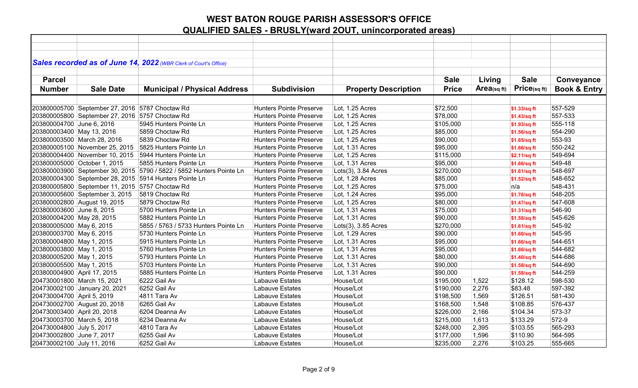|                             |                                                 | Sales recorded as of June 14, 2022 (WBR Clerk of Court's Office)     |                                |                             |              |            |              |                         |
|-----------------------------|-------------------------------------------------|----------------------------------------------------------------------|--------------------------------|-----------------------------|--------------|------------|--------------|-------------------------|
|                             |                                                 |                                                                      |                                |                             |              |            |              |                         |
| <b>Parcel</b>               |                                                 |                                                                      |                                |                             | <b>Sale</b>  | Living     | <b>Sale</b>  | Conveyance              |
| <b>Number</b>               | <b>Sale Date</b>                                | <b>Municipal / Physical Address</b>                                  | <b>Subdivision</b>             | <b>Property Description</b> | <b>Price</b> | Area(sqft) | Price(sq ft) | <b>Book &amp; Entry</b> |
|                             |                                                 |                                                                      |                                |                             |              |            |              |                         |
|                             | 203800005700 September 27, 2016 5787 Choctaw Rd |                                                                      | <b>Hunters Pointe Preserve</b> | Lot, 1.25 Acres             | \$72,500     |            |              | 557-529                 |
|                             | 203800005800 September 27, 2016 5757 Choctaw Rd |                                                                      | <b>Hunters Pointe Preserve</b> | Lot, 1.25 Acres             | \$78,000     |            | \$1.33/sq ft | 557-533                 |
| 203800004700 June 6, 2016   |                                                 | 5945 Hunters Pointe Ln                                               | Hunters Pointe Preserve        | Lot, 1.25 Acres             | \$105,000    |            | \$1.43/sq ft | 555-118                 |
|                             |                                                 | 5859 Choctaw Rd                                                      | <b>Hunters Pointe Preserve</b> | Lot, 1.25 Acres             |              |            | \$1.93/sq ft | 554-290                 |
| 203800003400 May 13, 2016   |                                                 |                                                                      |                                |                             | \$85,000     |            | \$1.56/sq ft |                         |
|                             | 203800003500 March 28, 2016                     | 5839 Choctaw Rd                                                      | <b>Hunters Pointe Preserve</b> | Lot, 1.25 Acres             | \$90,000     |            | \$1.65/sq ft | 553-93                  |
|                             | 203800005100 November 25, 2015                  | 5825 Hunters Pointe Ln                                               | <b>Hunters Pointe Preserve</b> | Lot, 1.31 Acres             | \$95,000     |            | \$1.66/sq ft | 550-242                 |
|                             | 203800004400 November 10, 2015                  | 5944 Hunters Pointe Ln                                               | <b>Hunters Pointe Preserve</b> | Lot, 1.25 Acres             | \$115,000    |            | \$2.11/sq ft | 549-694                 |
|                             | 203800005000 October 1, 2015                    | 5855 Hunters Pointe Ln                                               | <b>Hunters Pointe Preserve</b> | Lot, 1.31 Acres             | \$95,000     |            | \$1.66/sq ft | 549-48                  |
|                             |                                                 | 203800003900 September 30, 2015 5790 / 5822 / 5852 Hunters Pointe Ln | <b>Hunters Pointe Preserve</b> | Lots(3), 3.84 Acres         | \$270,000    |            | \$1.61/sq ft | 548-697                 |
|                             |                                                 | 203800004300 September 28, 2015 5914 Hunters Pointe Ln               | <b>Hunters Pointe Preserve</b> | Lot, 1.28 Acres             | \$85,000     |            | \$1.52/sq ft | 548-652                 |
|                             | 203800005800 September 11, 2015 5757 Choctaw Rd |                                                                      | <b>Hunters Pointe Preserve</b> | Lot, 1.25 Acres             | \$75,000     |            | n/a          | 548-431                 |
|                             | 203800005600 September 3, 2015                  | 5819 Choctaw Rd                                                      | <b>Hunters Pointe Preserve</b> | Lot, 1.24 Acres             | \$95,000     |            | \$1.76/sq ft | 548-205                 |
|                             | 203800002800 August 19, 2015                    | 5879 Choctaw Rd                                                      | <b>Hunters Pointe Preserve</b> | Lot, 1.25 Acres             | \$80,000     |            | \$1.47/sq ft | 547-608                 |
| 203800003600 June 8, 2015   |                                                 | 5700 Hunters Pointe Ln                                               | <b>Hunters Pointe Preserve</b> | Lot, 1.31 Acres             | \$75,000     |            | \$1.31/sq ft | 546-90                  |
| 203800004200 May 28, 2015   |                                                 | 5882 Hunters Pointe Ln                                               | Hunters Pointe Preserve        | Lot, 1.31 Acres             | \$90,000     |            | \$1.58/sq ft | 545-626                 |
| 203800005000 May 6, 2015    |                                                 | 5855 / 5763 / 5733 Hunters Pointe Ln                                 | <b>Hunters Pointe Preserve</b> | Lots $(3)$ , 3.85 Acres     | \$270,000    |            | \$1.61/sq ft | 545-92                  |
| 203800003700 May 6, 2015    |                                                 | 5730 Hunters Pointe Ln                                               | <b>Hunters Pointe Preserve</b> | Lot, 1.29 Acres             | \$90,000     |            | \$1.60/sq ft | 545-95                  |
| 203800004800 May 1, 2015    |                                                 | 5915 Hunters Pointe Ln                                               | <b>Hunters Pointe Preserve</b> | Lot, 1.31 Acres             | \$95,000     |            | \$1.66/sq ft | 544-651                 |
| 203800003800 May 1, 2015    |                                                 | 5760 Hunters Pointe Ln                                               | <b>Hunters Pointe Preserve</b> | Lot, 1.31 Acres             | \$95,000     |            | \$1.66/sq ft | 544-682                 |
| 203800005200 May 1, 2015    |                                                 | 5793 Hunters Pointe Ln                                               | <b>Hunters Pointe Preserve</b> | Lot, 1.31 Acres             | \$80,000     |            | \$1.40/sq ft | 544-686                 |
| 203800005500 May 1, 2015    |                                                 | 5703 Hunters Pointe Ln                                               | <b>Hunters Pointe Preserve</b> | Lot, 1.31 Acres             | \$90,000     |            | \$1.58/sq ft | 544-690                 |
| 203800004900 April 17, 2015 |                                                 | 5885 Hunters Pointe Ln                                               | <b>Hunters Pointe Preserve</b> | Lot, 1.31 Acres             | \$90,000     |            | \$1.58/sq ft | 544-259                 |
|                             | 204730001800 March 15, 2021                     | 6222 Gail Av                                                         | Labauve Estates                | House/Lot                   | \$195,000    | 1,522      | \$128.12     | 598-530                 |
|                             | 204730002100 January 20, 2021                   | 6252 Gail Av                                                         | Labauve Estates                | House/Lot                   | \$190,000    | 2,276      | \$83.48      | 597-392                 |
| 204730004700 April 5, 2019  |                                                 | 4811 Tara Av                                                         | Labauve Estates                | House/Lot                   | \$198,500    | 1,569      | \$126.51     | 581-430                 |
|                             | 204730002700 August 20, 2018                    | 6265 Gail Av                                                         | Labauve Estates                | House/Lot                   | \$168,500    | 1,548      | \$108.85     | 576-437                 |
| 204730003400 April 20, 2018 |                                                 | 6204 Deanna Av                                                       | <b>Labauve Estates</b>         | House/Lot                   | \$226,000    | 2,166      | \$104.34     | 573-37                  |
| 204730003700 March 5, 2018  |                                                 | 6234 Deanna Av                                                       | Labauve Estates                | House/Lot                   | \$215,000    | 1,613      | \$133.29     | 572-9                   |
| 204730004800 July 5, 2017   |                                                 | 4810 Tara Av                                                         | Labauve Estates                | House/Lot                   | \$248,000    | 2,395      | \$103.55     | 565-293                 |
| 204730002800 June 7, 2017   |                                                 | 6255 Gail Av                                                         | Labauve Estates                | House/Lot                   | \$177,000    | 1,596      | \$110.90     | 564-595                 |
| 204730002100 July 11, 2016  |                                                 | 6252 Gail Av                                                         | Labauve Estates                | House/Lot                   | \$235,000    | 2,276      | \$103.25     | 555-665                 |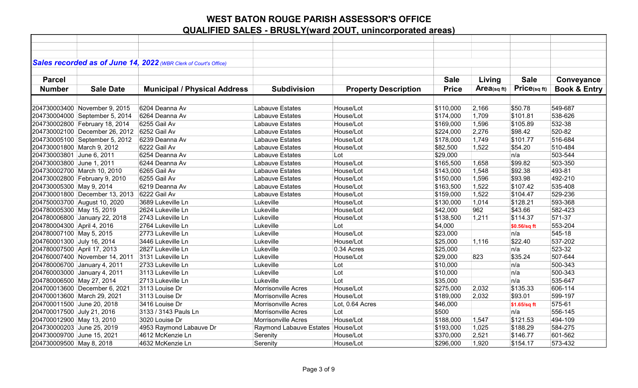|                             |                                | Sales recorded as of June 14, 2022 (WBR Clerk of Court's Office) |                                   |                             |              |            |              |                         |
|-----------------------------|--------------------------------|------------------------------------------------------------------|-----------------------------------|-----------------------------|--------------|------------|--------------|-------------------------|
|                             |                                |                                                                  |                                   |                             |              |            |              |                         |
| <b>Parcel</b>               |                                |                                                                  |                                   |                             | <b>Sale</b>  | Living     | <b>Sale</b>  | Conveyance              |
| <b>Number</b>               | <b>Sale Date</b>               | <b>Municipal / Physical Address</b>                              | <b>Subdivision</b>                | <b>Property Description</b> | <b>Price</b> | Area(sqft) | Price(sq ft) | <b>Book &amp; Entry</b> |
|                             |                                |                                                                  |                                   |                             |              |            |              |                         |
|                             | 204730003400 November 9, 2015  | 6204 Deanna Av                                                   | Labauve Estates                   | House/Lot                   | \$110,000    | 2,166      | \$50.78      | 549-687                 |
|                             | 204730004000 September 5, 2014 | 6264 Deanna Av                                                   | Labauve Estates                   | House/Lot                   | \$174,000    | 1,709      | \$101.81     | 538-626                 |
|                             | 204730002800 February 18, 2014 | 6255 Gail Av                                                     | Labauve Estates                   | House/Lot                   | \$169,000    | 1,596      | \$105.89     | 532-38                  |
|                             | 204730002100 December 26, 2012 | 6252 Gail Av                                                     | Labauve Estates                   | House/Lot                   | \$224,000    | 2,276      | \$98.42      | 520-82                  |
|                             | 204730005100 September 5, 2012 | 6239 Deanna Av                                                   | Labauve Estates                   | House/Lot                   | \$178,000    | 1,749      | \$101.77     | 516-684                 |
| 204730001800 March 9, 2012  |                                | 6222 Gail Av                                                     | Labauve Estates                   | House/Lot                   | \$82,500     | 1,522      | \$54.20      | 510-484                 |
| 204730003801 June 6, 2011   |                                | 6254 Deanna Av                                                   | Labauve Estates                   | Lot                         | \$29,000     |            | n/a          | 503-544                 |
| 204730003800 June 1, 2011   |                                | 6244 Deanna Av                                                   | Labauve Estates                   | House/Lot                   | \$165,500    | 1,658      | \$99.82      | 503-350                 |
|                             | 204730002700 March 10, 2010    | 6265 Gail Av                                                     | Labauve Estates                   | House/Lot                   | \$143,000    | 1,548      | \$92.38      | 493-81                  |
|                             | 204730002800 February 9, 2010  | 6255 Gail Av                                                     | Labauve Estates                   | House/Lot                   | \$150,000    | 1,596      | \$93.98      | 492-210                 |
| 204730005300 May 9, 2014    |                                | 6219 Deanna Av                                                   | Labauve Estates                   | House/Lot                   | \$163,500    | 1,522      | \$107.42     | 535-408                 |
|                             | 204730001800 December 13, 2013 | 6222 Gail Av                                                     | Labauve Estates                   | House/Lot                   | \$159,000    | 1,522      | \$104.47     | 529-236                 |
|                             | 204750003700 August 10, 2020   | 3689 Lukeville Ln                                                | Lukeville                         | House/Lot                   | \$130,000    | 1,014      | \$128.21     | 593-368                 |
| 204780005300 May 15, 2019   |                                | 2624 Lukeville Ln                                                | Lukeville                         | House/Lot                   | \$42,000     | 962        | \$43.66      | 582-423                 |
|                             | 204780006800 January 22, 2018  | 2743 Lukeville Ln                                                | Lukeville                         | House/Lot                   | \$138,500    | 1,211      | \$114.37     | 571-37                  |
| 204780004300 April 4, 2016  |                                | 2764 Lukeville Ln                                                | Lukeville                         | Lot                         | \$4,000      |            | \$0.56/sq ft | 553-204                 |
| 204780007100 May 5, 2015    |                                | 2773 Lukeville Ln                                                | Lukeville                         | House/Lot                   | \$23,000     |            | n/a          | 545-18                  |
| 204760001300 July 16, 2014  |                                | 3446 Lukeville Ln                                                | Lukeville                         | House/Lot                   | \$25,000     | 1,116      | \$22.40      | 537-202                 |
| 204780007500 April 17, 2013 |                                | 2827 Lukeville Ln                                                | Lukeville                         | 0.34 Acres                  | \$25,000     |            | n/a          | 523-32                  |
|                             | 204760007400 November 14, 2011 | 3131 Lukeville Ln                                                | Lukeville                         | House/Lot                   | \$29,000     | 823        | \$35.24      | 507-644                 |
|                             | 204780006700 January 4, 2011   | 2733 Lukeville Ln                                                | Lukeville                         | Lot                         | \$10,000     |            | n/a          | 500-343                 |
|                             | 204760003000 January 4, 2011   | 3113 Lukeville Ln                                                | Lukeville                         | Lot                         | \$10,000     |            | n/a          | 500-343                 |
| 204780006500 May 27, 2014   |                                | 2713 Lukeville Ln                                                | Lukeville                         | Lot                         | \$35,000     |            | n/a          | 535-647                 |
|                             | 204700013600 December 6, 2021  | 3113 Louise Dr                                                   | <b>Morrisonville Acres</b>        | House/Lot                   | \$275,000    | 2,032      | \$135.33     | 606-114                 |
|                             | 204700013600 March 29, 2021    | 3113 Louise Dr                                                   | Morrisonville Acres               | House/Lot                   | \$189,000    | 2,032      | \$93.01      | 599-197                 |
| 204700011500 June 20, 2018  |                                | 3416 Louise Dr                                                   | Morrisonville Acres               | Lot, 0.64 Acres             | \$46,000     |            | \$1.65/sq ft | 575-61                  |
| 204700017500 July 21, 2016  |                                | 3133 / 3143 Pauls Ln                                             | Morrisonville Acres               | Lot                         | \$500        |            | n/a          | 556-145                 |
| 204700012900 May 13, 2010   |                                | 3020 Louise Dr                                                   | Morrisonville Acres               | House/Lot                   | \$188,000    | 1,547      | \$121.53     | 494-109                 |
| 204730000203 June 25, 2019  |                                | 4953 Raymond Labauve Dr                                          | Raymond Labauve Estates House/Lot |                             | \$193,000    | 1,025      | \$188.29     | 584-275                 |
| 204730009700 June 15, 2021  |                                | 4612 McKenzie Ln                                                 | Serenity                          | House/Lot                   | \$370,000    | 2,521      | \$146.77     | 601-562                 |
| 204730009500 May 8, 2018    |                                | 4632 McKenzie Ln                                                 | Serenity                          | House/Lot                   | \$296,000    | 1,920      | \$154.17     | 573-432                 |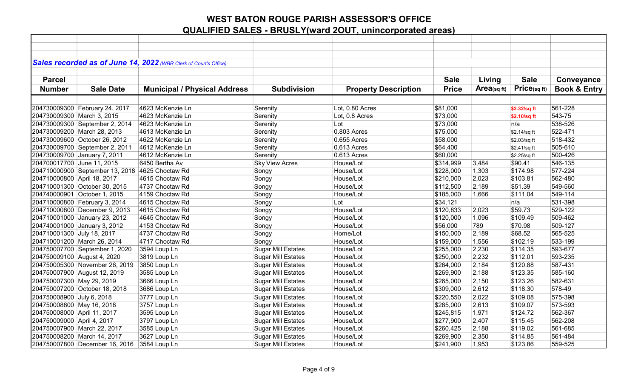|                             |                                                 | Sales recorded as of June 14, 2022 (WBR Clerk of Court's Office) |                           |                             |              |            |              |                         |
|-----------------------------|-------------------------------------------------|------------------------------------------------------------------|---------------------------|-----------------------------|--------------|------------|--------------|-------------------------|
| <b>Parcel</b>               |                                                 |                                                                  |                           |                             | <b>Sale</b>  |            | <b>Sale</b>  |                         |
|                             |                                                 |                                                                  |                           |                             |              | Living     |              | Conveyance              |
| <b>Number</b>               | <b>Sale Date</b>                                | <b>Municipal / Physical Address</b>                              | <b>Subdivision</b>        | <b>Property Description</b> | <b>Price</b> | Area(sqft) | Price(sq ft) | <b>Book &amp; Entry</b> |
|                             |                                                 |                                                                  |                           |                             |              |            |              |                         |
|                             | 204730009300 February 24, 2017                  | 4623 McKenzie Ln                                                 | Serenity                  | Lot, 0.80 Acres             | \$81,000     |            | \$2.32/sq ft | 561-228                 |
| 204730009300 March 3, 2015  |                                                 | 4623 McKenzie Ln                                                 | Serenity                  | Lot, 0.8 Acres              | \$73,000     |            | \$2.10/sq ft | 543-75                  |
|                             | 204730009300 September 2, 2014                  | 4623 McKenzie Ln                                                 | Serenity                  | Lot                         | \$73,000     |            | n/a          | 538-526                 |
|                             | 204730009200 March 28, 2013                     | 4613 McKenzie Ln                                                 | Serenity                  | 0.803 Acres                 | \$75,000     |            | \$2.14/sq ft | 522-471                 |
|                             | 204730009600 October 26, 2012                   | 4622 McKenzie Ln                                                 | Serenity                  | 0.655 Acres                 | \$58,000     |            | \$2.03/sq ft | 518-432                 |
|                             | 204730009700 September 2, 2011                  | 4612 McKenzie Ln                                                 | Serenity                  | 0.613 Acres                 | \$64,400     |            | \$2.41/sq ft | 505-610                 |
|                             | 204730009700 January 7, 2011                    | 4612 McKenzie Ln                                                 | Serenity                  | 0.613 Acres                 | \$60,000     |            | \$2.25/sq ft | 500-426                 |
| 204700017700 June 11, 2015  |                                                 | 6450 Bertha Av                                                   | <b>Sky View Acres</b>     | House/Lot                   | \$314,999    | 3,484      | \$90.41      | 546-135                 |
|                             | 204710000900 September 13, 2018 4625 Choctaw Rd |                                                                  | Songy                     | House/Lot                   | \$228,000    | 1,303      | \$174.98     | 577-224                 |
| 204710000800 April 18, 2017 |                                                 | 4615 Choctaw Rd                                                  | Songy                     | House/Lot                   | \$210,000    | 2,023      | \$103.81     | 562-480                 |
|                             | 204710001300 October 30, 2015                   | 4737 Choctaw Rd                                                  | Songy                     | House/Lot                   | \$112,500    | 2,189      | \$51.39      | 549-560                 |
|                             | 204740000901 October 1, 2015                    | 4159 Choctaw Rd                                                  | Songy                     | House/Lot                   | \$185,000    | 1,666      | \$111.04     | 549-114                 |
|                             | 204710000800 February 3, 2014                   | 4615 Choctaw Rd                                                  | Songy                     | Lot                         | \$34,121     |            | n/a          | 531-398                 |
|                             | 204710000800 December 9, 2013                   | 4615 Choctaw Rd                                                  | Songy                     | House/Lot                   | \$120,833    | 2,023      | \$59.73      | 529-122                 |
|                             | 204710001000 January 23, 2012                   | 4645 Choctaw Rd                                                  | Songy                     | House/Lot                   | \$120,000    | 1,096      | \$109.49     | 509-462                 |
|                             | 204740001000 January 3, 2012                    | 4153 Choctaw Rd                                                  | Songy                     | House/Lot                   | \$56,000     | 789        | \$70.98      | 509-127                 |
| 204710001300 July 18, 2017  |                                                 | 4737 Choctaw Rd                                                  | Songy                     | Home/Lot                    | \$150,000    | 2,189      | \$68.52      | 565-525                 |
|                             | 204710001200 March 26, 2014                     | 4717 Choctaw Rd                                                  | Songy                     | House/Lot                   | \$159,000    | 1,556      | \$102.19     | 533-199                 |
|                             | 204750007700 September 1, 2020                  | 3594 Loup Ln                                                     | <b>Sugar Mill Estates</b> | House/Lot                   | \$255,000    | 2,230      | \$114.35     | 593-677                 |
| 204750009100 August 4, 2020 |                                                 | 3819 Loup Ln                                                     | <b>Sugar Mill Estates</b> | House/Lot                   | \$250,000    | 2,232      | \$112.01     | 593-235                 |
|                             | 204750005300 November 26, 2019                  | 3850 Loup Ln                                                     | <b>Sugar Mill Estates</b> | House/Lot                   | \$264,000    | 2,184      | \$120.88     | 587-431                 |
|                             | 204750007900 August 12, 2019                    | 3585 Loup Ln                                                     | <b>Sugar Mill Estates</b> | House/Lot                   | \$269,900    | 2,188      | \$123.35     | 585-160                 |
| 204750007300 May 29, 2019   |                                                 | 3666 Loup Ln                                                     | <b>Sugar Mill Estates</b> | House/Lot                   | \$265,000    | 2,150      | \$123.26     | 582-631                 |
|                             | 204750007200 October 18, 2018                   | 3686 Loup Ln                                                     | <b>Sugar Mill Estates</b> | House/Lot                   | \$309,000    | 2,612      | \$118.30     | 578-49                  |
| 204750008900 July 6, 2018   |                                                 | 3777 Loup Ln                                                     | <b>Sugar Mill Estates</b> | House/Lot                   | \$220,550    | 2,022      | \$109.08     | 575-398                 |
| 204750008800 May 16, 2018   |                                                 | 3757 Loup Ln                                                     | <b>Sugar Mill Estates</b> | House/Lot                   | \$285,000    | 2,613      | \$109.07     | 573-593                 |
| 204750008000 April 11, 2017 |                                                 | 3595 Loup Ln                                                     | <b>Sugar Mill Estates</b> | House/Lot                   | \$245,815    | 1,971      | \$124.72     | 562-367                 |
| 204750009000 April 4, 2017  |                                                 | 3797 Loup Ln                                                     | <b>Sugar Mill Estates</b> | House/Lot                   | \$277,900    | 2,407      | \$115.45     | 562-208                 |
|                             | 204750007900 March 22, 2017                     | 3585 Loup Ln                                                     | <b>Sugar Mill Estates</b> | House/Lot                   | \$260,425    | 2,188      | \$119.02     | 561-685                 |
|                             | 204750008200 March 14, 2017                     | 3627 Loup Ln                                                     | <b>Sugar Mill Estates</b> | House/Lot                   | \$269,900    | 2,350      | \$114.85     | 561-484                 |
|                             | 204750007800 December 16, 2016                  | 3584 Loup Ln                                                     | <b>Sugar Mill Estates</b> | House/Lot                   | \$241,900    | 1,953      | \$123.86     | 559-525                 |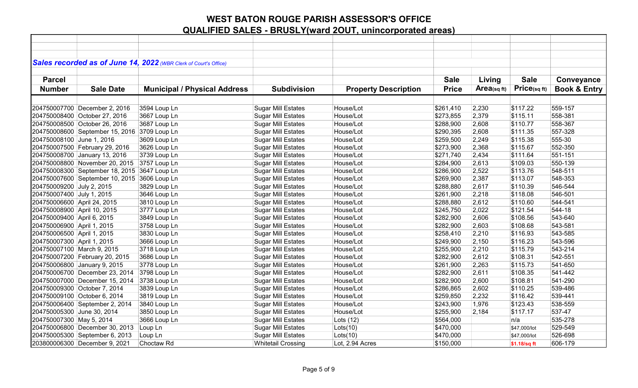|                             |                                              | Sales recorded as of June 14, 2022 (WBR Clerk of Court's Office) |                           |                             |              |            |              |                         |
|-----------------------------|----------------------------------------------|------------------------------------------------------------------|---------------------------|-----------------------------|--------------|------------|--------------|-------------------------|
|                             |                                              |                                                                  |                           |                             |              |            |              |                         |
| <b>Parcel</b>               |                                              |                                                                  |                           |                             | <b>Sale</b>  | Living     | <b>Sale</b>  | Conveyance              |
| <b>Number</b>               | <b>Sale Date</b>                             | <b>Municipal / Physical Address</b>                              | <b>Subdivision</b>        | <b>Property Description</b> | <b>Price</b> | Area(sqft) | Price(sq ft) | <b>Book &amp; Entry</b> |
|                             |                                              |                                                                  |                           |                             |              |            |              |                         |
|                             | 204750007700 December 2, 2016                | 3594 Loup Ln                                                     | <b>Sugar Mill Estates</b> | House/Lot                   | \$261,410    | 2,230      | \$117.22     | 559-157                 |
|                             | 204750008400 October 27, 2016                | 3667 Loup Ln                                                     | <b>Sugar Mill Estates</b> | House/Lot                   | \$273,855    | 2,379      | \$115.11     | 558-381                 |
|                             | 204750008500 October 26, 2016                | 3687 Loup Ln                                                     | <b>Sugar Mill Estates</b> | House/Lot                   | \$288,900    | 2,608      | \$110.77     | 558-367                 |
|                             | 204750008600 September 15, 2016              | 3709 Loup Ln                                                     | <b>Sugar Mill Estates</b> | House/Lot                   | \$290,395    | 2,608      | \$111.35     | 557-328                 |
| 204750008100 June 1, 2016   |                                              | 3609 Loup Ln                                                     | <b>Sugar Mill Estates</b> | House/Lot                   | \$259,500    | 2,249      | \$115.38     | 555-30                  |
|                             | 204750007500 February 29, 2016               | 3626 Loup Ln                                                     | <b>Sugar Mill Estates</b> | House/Lot                   | \$273,900    | 2,368      | \$115.67     | 552-350                 |
|                             | 204750008700 January 13, 2016                | 3739 Loup Ln                                                     | <b>Sugar Mill Estates</b> | House/Lot                   | \$271,740    | 2,434      | \$111.64     | 551-151                 |
|                             | 204750008800 November 20, 2015               | 3757 Loup Ln                                                     | <b>Sugar Mill Estates</b> | House/Lot                   | \$284,900    | 2,613      | \$109.03     | 550-139                 |
|                             | 204750008300 September 18, 2015 3647 Loup Ln |                                                                  | <b>Sugar Mill Estates</b> | House/Lot                   | \$286,900    | 2,522      | \$113.76     | 548-511                 |
|                             | 204750007600 September 10, 2015 3606 Loup Ln |                                                                  | <b>Sugar Mill Estates</b> | House/Lot                   | \$269,900    | 2,387      | \$113.07     | 548-353                 |
| 204750009200 July 2, 2015   |                                              | 3829 Loup Ln                                                     | <b>Sugar Mill Estates</b> | House/Lot                   | \$288,880    | 2,617      | \$110.39     | 546-544                 |
| 204750007400 July 1, 2015   |                                              | 3646 Loup Ln                                                     | <b>Sugar Mill Estates</b> | House/Lot                   | \$261,900    | 2,218      | \$118.08     | 546-501                 |
| 204750006600 April 24, 2015 |                                              | 3810 Loup Ln                                                     | <b>Sugar Mill Estates</b> | House/Lot                   | \$288,880    | 2,612      | \$110.60     | 544-541                 |
| 204750008900 April 10, 2015 |                                              | 3777 Loup Ln                                                     | <b>Sugar Mill Estates</b> | House/Lot                   | \$245,750    | 2,022      | \$121.54     | 544-18                  |
| 204750009400 April 6, 2015  |                                              | 3849 Loup Ln                                                     | <b>Sugar Mill Estates</b> | House/Lot                   | \$282,900    | 2,606      | \$108.56     | 543-640                 |
| 204750006900 April 1, 2015  |                                              | 3758 Loup Ln                                                     | <b>Sugar Mill Estates</b> | House/Lot                   | \$282,900    | 2,603      | \$108.68     | 543-581                 |
| 204750006500 April 1, 2015  |                                              | 3830 Loup Ln                                                     | <b>Sugar Mill Estates</b> | House/Lot                   | \$258,410    | 2,210      | \$116.93     | 543-585                 |
| 204750007300 April 1, 2015  |                                              | 3666 Loup Ln                                                     | <b>Sugar Mill Estates</b> | House/Lot                   | \$249,900    | 2,150      | \$116.23     | 543-596                 |
| 204750007100 March 9, 2015  |                                              | 3718 Loup Ln                                                     | <b>Sugar Mill Estates</b> | House/Lot                   | \$255,900    | 2,210      | \$115.79     | 543-214                 |
|                             | 204750007200 February 20, 2015               | 3686 Loup Ln                                                     | <b>Sugar Mill Estates</b> | House/Lot                   | \$282,900    | 2,612      | \$108.31     | 542-551                 |
|                             | 204750006800 January 9, 2015                 | 3778 Loup Ln                                                     | <b>Sugar Mill Estates</b> | House/Lot                   | \$261,900    | 2,263      | \$115.73     | 541-650                 |
|                             | 204750006700 December 23, 2014               | 3798 Loup Ln                                                     | <b>Sugar Mill Estates</b> | House/Lot                   | \$282,900    | 2,611      | \$108.35     | 541-442                 |
|                             | 204750007000 December 15, 2014               | 3738 Loup Ln                                                     | <b>Sugar Mill Estates</b> | House/Lot                   | \$282,900    | 2,600      | \$108.81     | 541-290                 |
|                             | 204750009300 October 7, 2014                 | 3839 Loup Ln                                                     | <b>Sugar Mill Estates</b> | House/Lot                   | \$286,865    | 2,602      | \$110.25     | 539-486                 |
|                             | 204750009100 October 6, 2014                 | 3819 Loup Ln                                                     | <b>Sugar Mill Estates</b> | House/Lot                   | \$259,850    | 2,232      | \$116.42     | 539-441                 |
|                             | 204750006400 September 2, 2014               | 3840 Loup Ln                                                     | <b>Sugar Mill Estates</b> | House/Lot                   | \$243,900    | 1,976      | \$123.43     | 538-559                 |
| 204750005300 June 30, 2014  |                                              | 3850 Loup Ln                                                     | <b>Sugar Mill Estates</b> | House/Lot                   | \$255,900    | 2,184      | \$117.17     | 537-47                  |
| 204750007300 May 5, 2014    |                                              | 3666 Loup Ln                                                     | <b>Sugar Mill Estates</b> | Lots $(12)$                 | \$564,000    |            | n/a          | 535-278                 |
|                             | 204750006800 December 30, 2013               | Loup Ln                                                          | <b>Sugar Mill Estates</b> | Lots(10)                    | \$470,000    |            | \$47,000/lot | 529-549                 |
|                             | 204750005300 September 6, 2013               | Loup Ln                                                          | <b>Sugar Mill Estates</b> | Lots(10)                    | \$470,000    |            | \$47,000/lot | 526-698                 |
|                             | 203800006300 December 9, 2021                | Choctaw Rd                                                       | <b>Whitetail Crossing</b> | Lot, 2.94 Acres             | \$150,000    |            | \$1.18/sq ft | 606-179                 |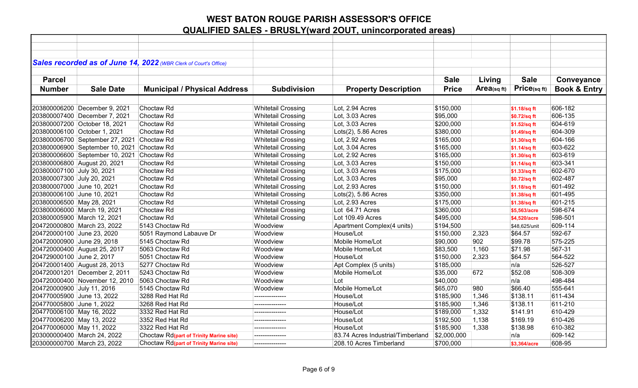|                            |                                            | Sales recorded as of June 14, 2022 (WBR Clerk of Court's Office) |                           |                                   |              |            |               |                         |
|----------------------------|--------------------------------------------|------------------------------------------------------------------|---------------------------|-----------------------------------|--------------|------------|---------------|-------------------------|
|                            |                                            |                                                                  |                           |                                   |              |            |               |                         |
| <b>Parcel</b>              |                                            |                                                                  |                           |                                   | <b>Sale</b>  | Living     | <b>Sale</b>   | Conveyance              |
| <b>Number</b>              | <b>Sale Date</b>                           | <b>Municipal / Physical Address</b>                              | <b>Subdivision</b>        | <b>Property Description</b>       | <b>Price</b> | Area(sqft) | Price(sq ft)  | <b>Book &amp; Entry</b> |
|                            |                                            |                                                                  |                           |                                   |              |            |               |                         |
|                            | 203800006200 December 9, 2021              | Choctaw <sub>Rd</sub>                                            | <b>Whitetail Crossing</b> | Lot, 2.94 Acres                   | \$150,000    |            | \$1.18/sq ft  | 606-182                 |
|                            | 203800007400 December 7, 2021              | Choctaw <sub>Rd</sub>                                            | <b>Whitetail Crossing</b> | Lot, 3.03 Acres                   | \$95,000     |            | \$0.72/sq ft  | 606-135                 |
|                            | 203800007200 October 18, 2021              | Choctaw <sub>Rd</sub>                                            | <b>Whitetail Crossing</b> | Lot, 3.03 Acres                   | \$200,000    |            | \$1.52/sq ft  | 604-619                 |
|                            | 203800006100 October 1, 2021               | Choctaw Rd                                                       | <b>Whitetail Crossing</b> | $Lots(2)$ , 5.86 Acres            | \$380,000    |            | \$1.49/sq ft  | 604-309                 |
|                            | 203800006700 September 27, 2021 Choctaw Rd |                                                                  | <b>Whitetail Crossing</b> | Lot, 2.92 Acres                   | \$165,000    |            | \$1.30/sq ft  | 604-166                 |
|                            | 203800006900 September 10, 2021 Choctaw Rd |                                                                  | <b>Whitetail Crossing</b> | Lot, 3.04 Acres                   | \$165,000    |            | \$1.14/sq ft  | 603-622                 |
|                            | 203800006600 September 10, 2021 Choctaw Rd |                                                                  | <b>Whitetail Crossing</b> | Lot, 2.92 Acres                   | \$165,000    |            | \$1.30/sq ft  | 603-619                 |
|                            | 203800006800 August 20, 2021               | Choctaw <sub>Rd</sub>                                            | <b>Whitetail Crossing</b> | Lot, 3.03 Acres                   | \$150,000    |            | \$1.14/sq ft  | 603-341                 |
| 203800007100 July 30, 2021 |                                            | Choctaw <sub>Rd</sub>                                            | <b>Whitetail Crossing</b> | Lot, 3.03 Acres                   | \$175,000    |            | \$1.33/sq ft  | 602-670                 |
| 203800007300 July 20, 2021 |                                            | Choctaw Rd                                                       | <b>Whitetail Crossing</b> | Lot, 3.03 Acres                   | \$95,000     |            | \$0.72/sq ft  | 602-487                 |
| 203800007000 June 10, 2021 |                                            | Choctaw <sub>Rd</sub>                                            | <b>Whitetail Crossing</b> | Lot, 2.93 Acres                   | \$150,000    |            | \$1.18/sq ft  | 601-492                 |
| 203800006100 June 10, 2021 |                                            | Choctaw <sub>Rd</sub>                                            | <b>Whitetail Crossing</b> | Lots(2), 5.86 Acres               | \$350,000    |            | \$1.38/sq ft  | 601-495                 |
| 203800006500 May 28, 2021  |                                            | Choctaw <sub>Rd</sub>                                            | <b>Whitetail Crossing</b> | Lot, 2.93 Acres                   | \$175,000    |            | \$1.38/sq ft  | 601-215                 |
|                            | 203800006000 March 19, 2021                | Choctaw <sub>Rd</sub>                                            | <b>Whitetail Crossing</b> | Lot 64.71 Acres                   | \$360,000    |            | \$5,563/acre  | 598-674                 |
|                            | 203800005900 March 12, 2021                | Choctaw <sub>Rd</sub>                                            | <b>Whitetail Crossing</b> | Lot 109.49 Acres                  | \$495,000    |            | \$4,520/acre  | 598-501                 |
|                            | 204720000800 March 23, 2022                | 5143 Choctaw Rd                                                  | Woodview                  | Apartment Complex(4 units)        | \$194,500    |            | \$48,625/unit | 609-114                 |
| 204720000100 June 23, 2020 |                                            | 5051 Raymond Labauve Dr                                          | Woodview                  | House/Lot                         | \$150,000    | 2,323      | \$64.57       | 592-67                  |
| 204720000900 June 29, 2018 |                                            | 5145 Choctaw Rd                                                  | Woodview                  | Mobile Home/Lot                   | \$90,000     | 902        | \$99.78       | 575-225                 |
|                            | 204720000400 August 25, 2017               | 5063 Choctaw Rd                                                  | Woodview                  | Mobile Home/Lot                   | \$83,500     | 1,160      | \$71.98       | 567-31                  |
| 204729000100 June 2, 2017  |                                            | 5051 Choctaw Rd                                                  | Woodview                  | House/Lot                         | \$150,000    | 2,323      | \$64.57       | 564-522                 |
|                            | 204720001400 August 28, 2013               | 5277 Choctaw Rd                                                  | Woodview                  | Apt Complex (5 units)             | \$185,000    |            | n/a           | 526-527                 |
|                            | 204720001201 December 2, 2011              | 5243 Choctaw Rd                                                  | Woodview                  | Mobile Home/Lot                   | \$35,000     | 672        | \$52.08       | 508-309                 |
|                            | 204720000400 November 12, 2010             | 5063 Choctaw Rd                                                  | Woodview                  | Lot                               | \$40,000     |            | n/a           | 498-484                 |
| 204720000900 July 11, 2016 |                                            | 5145 Choctaw Rd                                                  | Woodview                  | Mobile Home/Lot                   | \$65,070     | 980        | \$66.40       | 555-641                 |
| 204770005900 June 13, 2022 |                                            | 3288 Red Hat Rd                                                  |                           | House/Lot                         | \$185,900    | 1,346      | \$138.11      | 611-434                 |
| 204770005800 June 1, 2022  |                                            | 3268 Red Hat Rd                                                  | --------------            | House/Lot                         | \$185,900    | 1,346      | \$138.11      | 611-210                 |
| 204770006100 May 16, 2022  |                                            | 3332 Red Hat Rd                                                  |                           | House/Lot                         | \$189,000    | 1,332      | \$141.91      | 610-429                 |
| 204770006200 May 13, 2022  |                                            | 3352 Red Hat Rd                                                  | ----------------          | House/Lot                         | \$192,500    | 1,138      | \$169.19      | 610-426                 |
| 204770006000 May 11, 2022  |                                            | 3322 Red Hat Rd                                                  | ---------------           | House/Lot                         | \$185,900    | 1,338      | \$138.98      | 610-382                 |
|                            | 203000000400 March 24, 2022                | Choctaw Rd(part of Trinity Marine site)                          | --------------            | 83.74 Acres Industrial/Timberland | \$2,000,000  |            | n/a           | 609-142                 |
|                            | 203000000700 March 23, 2022                | Choctaw Rd(part of Trinity Marine site)                          | ---------------           | 208.10 Acres Timberland           | \$700,000    |            | \$3,364/acre  | 608-95                  |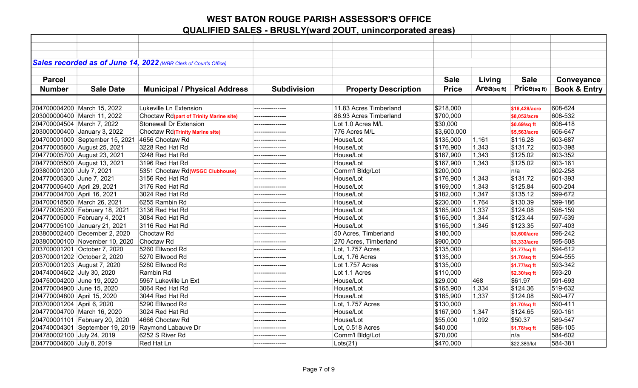|                             |                                 | Sales recorded as of June 14, 2022 (WBR Clerk of Court's Office) |                    |                             |              |                |               |                         |
|-----------------------------|---------------------------------|------------------------------------------------------------------|--------------------|-----------------------------|--------------|----------------|---------------|-------------------------|
|                             |                                 |                                                                  |                    |                             |              |                |               |                         |
| <b>Parcel</b>               |                                 |                                                                  |                    |                             | <b>Sale</b>  | Living         | <b>Sale</b>   | Conveyance              |
| <b>Number</b>               | <b>Sale Date</b>                | <b>Municipal / Physical Address</b>                              | <b>Subdivision</b> | <b>Property Description</b> | <b>Price</b> | $Area$ (sq ft) | Price(sqft)   | <b>Book &amp; Entry</b> |
|                             |                                 |                                                                  |                    |                             |              |                |               |                         |
|                             | 204700004200 March 15, 2022     | Lukeville Ln Extension                                           |                    | 11.83 Acres Timberland      | \$218,000    |                | \$18,428/acre | 608-624                 |
|                             | 203000000400 March 11, 2022     | Choctaw Rd(part of Trinity Marine site)                          | --------------     | 86.93 Acres Timberland      | \$700,000    |                | \$8,052/acre  | 608-532                 |
| 204700004504 March 7, 2022  |                                 | <b>Stonewall Dr Extension</b>                                    | --------------     | Lot 1.0 Acres M/L           | \$30,000     |                | \$0.69/sq ft  | 608-418                 |
|                             | 203000000400 January 3, 2022    | <b>Choctaw Rd</b> (Trinity Marine site)                          | ---------------    | 776 Acres M/L               | \$3,600,000  |                | \$5,563/acre  | 606-647                 |
|                             | 204700001000 September 15, 2021 | 4656 Choctaw Rd                                                  | --------------     | House/Lot                   | \$135,000    | 1,161          | \$116.28      | 603-687                 |
|                             | 204770005600 August 25, 2021    | 3228 Red Hat Rd                                                  | ---------------    | House/Lot                   | \$176,900    | 1,343          | \$131.72      | 603-398                 |
|                             | 204770005700 August 23, 2021    | 3248 Red Hat Rd                                                  | --------------     | House/Lot                   | \$167,900    | 1,343          | \$125.02      | 603-352                 |
|                             | 204770005500 August 13, 2021    | 3196 Red Hat Rd                                                  | --------------     | House/Lot                   | \$167,900    | 1,343          | \$125.02      | 603-161                 |
| 203800001200 July 7, 2021   |                                 | 5351 Choctaw Rd( <b>WSGC Clubhouse</b> )                         | ---------------    | Comm'l Bldg/Lot             | \$200,000    |                | n/a           | 602-258                 |
| 204770005300 June 7, 2021   |                                 | 3156 Red Hat Rd                                                  | ---------------    | House/Lot                   | \$176,900    | 1,343          | \$131.72      | 601-393                 |
| 204770005400 April 29, 2021 |                                 | 3176 Red Hat Rd                                                  | ---------------    | House/Lot                   | \$169,000    | 1,343          | \$125.84      | 600-204                 |
| 204770004700 April 16, 2021 |                                 | 3024 Red Hat Rd                                                  | --------------     | House/Lot                   | \$182,000    | 1,347          | \$135.12      | 599-672                 |
|                             | 204700018500 March 26, 2021     | 6255 Rambin Rd                                                   | ---------------    | House/Lot                   | \$230,000    | 1,764          | \$130.39      | 599-186                 |
|                             | 204770005200 February 18, 2021  | 3136 Red Hat Rd                                                  |                    | House/Lot                   | \$165,900    | 1,337          | \$124.08      | 598-159                 |
|                             | 204770005000 February 4, 2021   | 3084 Red Hat Rd                                                  |                    | House/Lot                   | \$165,900    | 1,344          | \$123.44      | 597-539                 |
|                             | 204770005100 January 21, 2021   | 3116 Red Hat Rd                                                  |                    | House/Lot                   | \$165,900    | 1,345          | \$123.35      | 597-403                 |
|                             | 203800002400 December 2, 2020   | Choctaw Rd                                                       | --------------     | 50 Acres, Timberland        | \$180,000    |                | \$3,600/acre  | 596-242                 |
|                             | 203800000100 November 10, 2020  | Choctaw <sub>Rd</sub>                                            | ---------------    | 270 Acres, Timberland       | \$900,000    |                | \$3,333/acre  | 595-508                 |
|                             | 203700001201 October 7, 2020    | 5260 Ellwood Rd                                                  | ---------------    | Lot, 1.757 Acres            | \$135,000    |                | \$1.77/sq ft  | 594-612                 |
|                             | 203700001202 October 2, 2020    | 5270 Ellwood Rd                                                  | --------------     | Lot, 1.76 Acres             | \$135,000    |                | \$1.76/sq ft  | 594-555                 |
|                             | 203700001203 August 7, 2020     | 5280 Ellwood Rd                                                  | --------------     | Lot 1.757 Acres             | \$135,000    |                | \$1.77/sq ft  | 593-342                 |
| 204740004602 July 30, 2020  |                                 | Rambin Rd                                                        | --------------     | Lot 1.1 Acres               | \$110,000    |                | \$2.30/sq ft  | 593-20                  |
| 204750004200 June 19, 2020  |                                 | 5967 Lukeville Ln Ext                                            | ---------------    | House/Lot                   | \$29,000     | 468            | \$61.97       | 591-693                 |
| 204770004900 June 15, 2020  |                                 | 3064 Red Hat Rd                                                  | ---------------    | House/Lot                   | \$165,900    | 1,334          | \$124.36      | 519-632                 |
| 204770004800 April 15, 2020 |                                 | 3044 Red Hat Rd                                                  |                    | House/Lot                   | \$165,900    | 1,337          | \$124.08      | 590-477                 |
| 203700001204 April 6, 2020  |                                 | 5290 Ellwood Rd                                                  |                    | Lot, 1.757 Acres            | \$130,000    |                | \$1.70/sq ft  | 590-411                 |
|                             | 204770004700 March 16, 2020     | 3024 Red Hat Rd                                                  |                    | House/Lot                   | \$167,900    | 1,347          | \$124.65      | 590-161                 |
|                             | 204700001101 February 20, 2020  | 4666 Choctaw Rd                                                  | ---------------    | House/Lot                   | \$55,000     | 1,092          | \$50.37       | 589-547                 |
|                             |                                 | 204740004301 September 19, 2019 Raymond Labauve Dr               | --------------     | Lot, 0.518 Acres            | \$40,000     |                | \$1.78/sq ft  | 586-105                 |
| 204780002100 July 24, 2019  |                                 | 6252 S River Rd                                                  | ---------------    | Comm'l Bldg/Lot             | \$70,000     |                | n/a           | 584-602                 |
| 204770004600 July 8, 2019   |                                 | Red Hat Ln                                                       | --------------     | Lots(21)                    | \$470,000    |                | \$22,389/lot  | 584-381                 |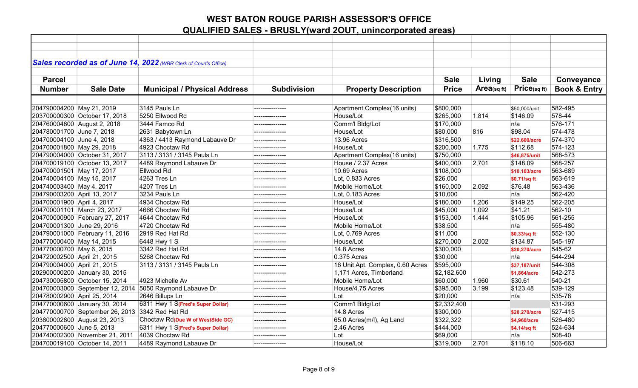|                             |                                                 | Sales recorded as of June 14, 2022 (WBR Clerk of Court's Office) |                    |                                  |              |            |               |                         |
|-----------------------------|-------------------------------------------------|------------------------------------------------------------------|--------------------|----------------------------------|--------------|------------|---------------|-------------------------|
|                             |                                                 |                                                                  |                    |                                  |              |            |               |                         |
| <b>Parcel</b>               |                                                 |                                                                  |                    |                                  | <b>Sale</b>  | Living     | <b>Sale</b>   | Conveyance              |
| <b>Number</b>               | <b>Sale Date</b>                                | <b>Municipal / Physical Address</b>                              | <b>Subdivision</b> | <b>Property Description</b>      | <b>Price</b> | Area(sqft) | Price(sq ft)  | <b>Book &amp; Entry</b> |
|                             |                                                 |                                                                  |                    |                                  |              |            |               |                         |
| 204790004200 May 21, 2019   |                                                 | 3145 Pauls Ln                                                    | --------------     | Apartment Complex(16 units)      | \$800,000    |            | \$50.000/unit | 582-495                 |
|                             | 203700000300 October 17, 2018                   | 5250 Ellwood Rd                                                  | ---------------    | House/Lot                        | \$265,000    | 1,814      | \$146.09      | 578-44                  |
|                             | 204760004800 August 2, 2018                     | 3444 Famco Rd                                                    |                    | Comm'l Bldg/Lot                  | \$170,000    |            | n/a           | 576-171                 |
| 204780001700 June 7, 2018   |                                                 | 2631 Babytown Ln                                                 | --------------     | House/Lot                        | \$80,000     | 816        | \$98.04       | 574-478                 |
| 204700004100 June 4, 2018   |                                                 | 4363 / 4413 Raymond Labauve Dr                                   | --------------     | 13.96 Acres                      | \$316,500    |            | \$22,600/acre | 574-370                 |
| 204700001800 May 29, 2018   |                                                 | 4923 Choctaw Rd                                                  | --------------     | House/Lot                        | \$200,000    | 1,775      | \$112.68      | 574-123                 |
|                             | 204790004000 October 31, 2017                   | 3113 / 3131 / 3145 Pauls Ln                                      | ---------------    | Apartment Complex(16 units)      | \$750,000    |            | \$46,875/unit | 568-573                 |
|                             | 204700019100 October 13, 2017                   | 4489 Raymond Labauve Dr                                          | ---------------    | House / 2.37 Acres               | \$400,000    | 2,701      | \$148.09      | 568-257                 |
| 204700001501 May 17, 2017   |                                                 | Ellwood Rd                                                       |                    | 10.69 Acres                      | \$108,000    |            | \$10,103/acre | 563-689                 |
| 204740004100 May 15, 2017   |                                                 | 4263 Tres Ln                                                     |                    | Lot, 0.833 Acres                 | \$26,000     |            | \$0.71/sq ft  | 563-619                 |
| 204740003400 May 4, 2017    |                                                 | 4207 Tres Ln                                                     | ---------------    | Mobile Home/Lot                  | \$160,000    | 2,092      | \$76.48       | 563-436                 |
| 204790003200 April 13, 2017 |                                                 | 3234 Pauls Ln                                                    | ---------------    | Lot, 0.183 Acres                 | \$10,000     |            | n/a           | 562-420                 |
| 204700001900 April 4, 2017  |                                                 | 4934 Choctaw Rd                                                  | --------------     | House/Lot                        | \$180,000    | 1,206      | \$149.25      | 562-205                 |
|                             | 204700001101 March 23, 2017                     | 4666 Choctaw Rd                                                  | ---------------    | House/Lot                        | \$45,000     | 1,092      | \$41.21       | 562-10                  |
|                             | 204700000900 February 27, 2017                  | 4644 Choctaw Rd                                                  | ---------------    | House/Lot                        | \$153,000    | 1,444      | \$105.96      | 561-255                 |
| 204700001300 June 29, 2016  |                                                 | 4720 Choctaw Rd                                                  | ---------------    | Mobile Home/Lot                  | \$38,500     |            | n/a           | 555-480                 |
|                             | 204790001000 February 11, 2016                  | 2919 Red Hat Rd                                                  |                    | Lot, 0.769 Acres                 | \$11,000     |            | \$0.33/sq ft  | 552-130                 |
| 204770000400 May 14, 2015   |                                                 | 6448 Hwy 1 S                                                     | ---------------    | House/Lot                        | \$270,000    | 2,002      | \$134.87      | 545-197                 |
| 204770000700 May 6, 2015    |                                                 | 3342 Red Hat Rd                                                  | ---------------    | 14.8 Acres                       | \$300,000    |            | \$20,270/acre | 545-62                  |
| 204720002500 April 21, 2015 |                                                 | 5268 Choctaw Rd                                                  | ---------------    | 0.375 Acres                      | \$30,000     |            | n/a           | 544-294                 |
| 204790004000 April 21, 2015 |                                                 | 3113 / 3131 / 3145 Pauls Ln                                      | ---------------    | 16 Unit Apt. Complex, 0.60 Acres | \$595,000    |            | \$37,187/unit | 544-308                 |
|                             | 202900000200 January 30, 2015                   |                                                                  | ---------------    | 1,171 Acres, Timberland          | \$2,182,600  |            | \$1,864/acre  | 542-273                 |
|                             | 204730005800 October 15, 2014                   | 4923 Michelle Av                                                 | --------------     | Mobile Home/Lot                  | \$60,000     | 1,960      | \$30.61       | 540-21                  |
|                             | 204700003000 September 12, 2014                 | 5050 Raymond Labauve Dr                                          | ---------------    | House/4.75 Acres                 | \$395,000    | 3,199      | \$123.48      | 539-129                 |
| 204780002900 April 25, 2014 |                                                 | 2646 Billups Ln                                                  | ---------------    | Lot                              | \$20,000     |            | n/a           | 535-78                  |
|                             | 204770000600 January 30, 2014                   | 6311 Hwy 1 S(Fred's Super Dollar)                                |                    | Comm'l Bldg/Lot                  | \$2,332,400  |            |               | 531-293                 |
|                             | 204770000700 September 26, 2013 3342 Red Hat Rd |                                                                  |                    | 14.8 Acres                       | \$300,000    |            | \$20,270/acre | 527-415                 |
|                             | 203800002800 August 23, 2013                    | Choctaw Rd(Due W of WestSide GC)                                 | ---------------    | 65.0 Acres(m/l), Ag Land         | \$322,322    |            | \$4,960/acre  | 526-480                 |
| 204770000600 June 5, 2013   |                                                 | 6311 Hwy 1 S(Fred's Super Dollar)                                | ---------------    | 2.46 Acres                       | \$444,000    |            | \$4.14/sq ft  | 524-634                 |
|                             | 204740002300 November 21, 2011                  | 4039 Choctaw Rd                                                  | ---------------    | Lot                              | \$69,000     |            | n/a           | 508-40                  |
|                             | 204700019100 October 14, 2011                   | 4489 Raymond Labauve Dr                                          | ---------------    | House/Lot                        | \$319,000    | 2,701      | \$118.10      | 506-663                 |